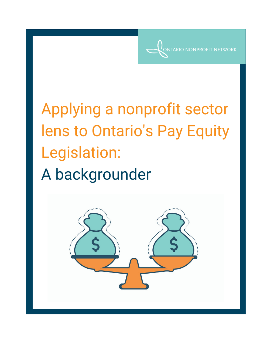**RIO NONPROFIT NETWORK** 

Applying a nonprofit sector lens to Ontario's Pay Equity Legislation: A backgrounder

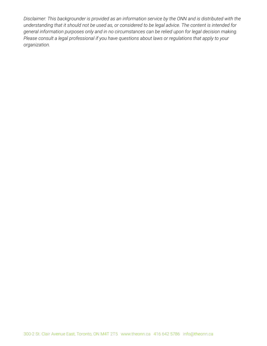*Disclaimer: This backgrounder is provided as an information service by the ONN and is distributed with the* understanding that it should not be used as, or considered to be legal advice. The content is intended for *general information purposes only and in no circumstances can be relied upon for legal decision making. Please consult a legal professional if you have questions about laws or regulations that apply to your organization.*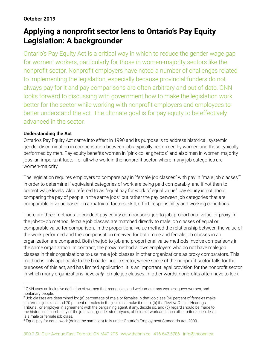## **October 2019**

# **Applying a nonprofit sector lens to Ontario's Pay Equity Legislation: A backgrounder**

Ontario's Pay Equity Act is a critical way in which to reduce the gender wage gap for women<sup>1</sup> workers, particularly for those in women-majority sectors like the nonprofit sector. Nonprofit employers have noted a number of challenges related to implementing the legislation, especially because provincial funders do not always pay for it and pay comparisons are often arbitrary and out of date. ONN looks forward to discussing with government how to make the legislation work better for the sector while working with nonprofit employers and employees to better understand the act. The ultimate goal is for pay equity to be effectively advanced in the sector.

## **Understanding the Act**

Ontario's Pay Equity Act came into effect in 1990 and its purpose is to address historical, systemic gender discrimination in compensation between jobs typically performed by women and those typically performed by men. Pay equity benefits women in "pink-collar ghettos" and also men in women-majority jobs, an important factor for all who work in the nonprofit sector, where many job categories are women-majority.

The legislation requires employers to compare pay in "female job classes" with pay in "male job classes" 2 in order to determine if equivalent categories of work are being paid comparably, and if not then to correct wage levels. Also referred to as "equal pay for work of equal value," pay equity is not about comparing the pay of people in the same jobs<sup>3</sup> but rather the pay between job categories that are comparable in value based on a matrix of factors: skill, effort, responsibility and working conditions.

There are three methods to conduct pay equity comparisons: job-to-job, proportional value, or proxy. In the job-to-job method, female job classes are matched directly to male job classes of equal or comparable value for comparison. In the proportional value method the relationship between the value of the work performed and the compensation received for both male and female job classes in an organization are compared. Both the job-to-job and proportional value methods involve comparisons in the same organization. In contrast, the proxy method allows employers who do not have male job classes in their organizations to use male job classes in other organizations as proxy comparators. This method is only applicable to the broader public sector, where some of the nonprofit sector falls for the purposes of this act, and has limited application. It is an important legal provision for the nonprofit sector, in which many organizations have *only* female job classes. In other words, nonprofits often have to look

<sup>&</sup>lt;sup>1</sup> ONN uses an inclusive definition of women that recognizes and welcomes trans women, queer women, and nonbinary people.

 $^2$  Job classes are determined by: (a) percentage of male or females in that job class (60 percent of females make it a female job class and 70 percent of males in the job class make it male), (b) if a Review Officer, Hearings Tribunal, or employer in agreement with the bargaining agent, if any, decide so, and (c) regard should be made to the historical incumbency of the job class, gender stereotypes, of fields of work and such other criteria. decides it is a male or female job class.

 ${}^{3}$  Equal pay for equal work (doing the same job) falls under Ontario's Employment Standards Act, 2000.  ${}^{1}$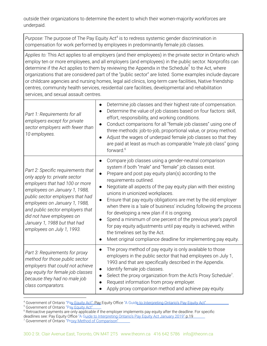outside their organizations to determine the extent to which their women-majority workforces are underpaid.

*Purpose:* The purpose of The Pay Equity Act<sup>4</sup> is to redress systemic gender discrimination in compensation for work performed by employees in predominantly female job classes.

*Applies to:* This Act applies to all employers (and their employees) in the private sector in Ontario which employ ten or more employees, and all employers (and employees) in the public sector. Nonprofits can determine if the Act applies to them by reviewing the Appendix in the Schedule $^{\rm 5}$  to the Act, where organizations that are considered part of the "public sector" are listed. Some examples include daycare or childcare agencies and nursing homes, legal aid clinics, long-term care facilities, Native friendship centres, community health services, residential care facilities, developmental and rehabilitation services, and sexual assault centres.

| Part 1: Requirements for all<br>employers except for private<br>sector employers with fewer than<br>10 employees.                                                                                                                                                                                                                          | Determine job classes and their highest rate of compensation.<br>Determine the value of job classes based on four factors: skill,<br>effort, responsibility, and working conditions.<br>Conduct comparisons for all "female job classes" using one of<br>three methods: job-to-job, proportional value, or proxy method.<br>Adjust the wages of underpaid female job classes so that they<br>are paid at least as much as comparable "male job class" going<br>forward. <sup>6</sup>                                                                                                                                                                                                                                                               |
|--------------------------------------------------------------------------------------------------------------------------------------------------------------------------------------------------------------------------------------------------------------------------------------------------------------------------------------------|----------------------------------------------------------------------------------------------------------------------------------------------------------------------------------------------------------------------------------------------------------------------------------------------------------------------------------------------------------------------------------------------------------------------------------------------------------------------------------------------------------------------------------------------------------------------------------------------------------------------------------------------------------------------------------------------------------------------------------------------------|
| Part 2: Specific requirements that<br>only apply to: private sector<br>employers that had 100 or more<br>employees on January 1, 1988,<br>public sector employers that had<br>employees on January 1, 1988,<br>and public sector employers that<br>did not have employees on<br>January 1, 1988 but that had<br>employees on July 1, 1993. | Compare job classes using a gender-neutral comparison<br>system if both "male" and "female" job classes exist.<br>Prepare and post pay equity plan(s) according to the<br>requirements outlined.<br>Negotiate all aspects of the pay equity plan with their existing<br>unions in unionized workplaces.<br>Ensure that pay equity obligations are met by the old employer<br>when there is a 'sale of business' including following the process<br>for developing a new plan if it is ongoing.<br>Spend a minimum of one percent of the previous year's payroll<br>$\bullet$<br>for pay equity adjustments until pay equity is achieved, within<br>the timelines set by the Act.<br>Meet original compliance deadline for implementing pay equity. |
| Part 3: Requirements for proxy<br>method for those public sector<br>employers that could not achieve<br>pay equity for female job classes<br>because they had no male job<br>class comparators.                                                                                                                                            | The proxy method of pay equity is only available to those<br>employers in the public sector that had employees on July 1,<br>1993 and that are specifically described in the Appendix.<br>Identify female job classes.<br>$\bullet$<br>Select the proxy organization from the Act's Proxy Schedule <sup>7</sup> .<br>Request information from proxy employer.<br>Apply proxy comparison method and achieve pay equity.                                                                                                                                                                                                                                                                                                                             |

<sup>&</sup>lt;sup>4</sup> Government of Ontario "Pa<u>y Equity Act"; Pay</u> Equity Office "A Guid<u>e to Interpreting Ontario's Pay Equity Act"</u>

<sup>&</sup>lt;sup>5</sup> Government of Ontario "Pay Equity Act"

<sup>6</sup> Retroactive payments are only applicable if the employer implements pay equity after the deadline. For specific deadlines see: Pay Equity Office ["A Guide to Interpreting Ontario's Pay Equity Act January 2019"](http://www.payequity.gov.on.ca/en/DocsEN/2019-01-31%20Pay%20Equity%20Office%20Guide%20to%20the%20Act%202019%20-%20EN.pdf) p.19

<sup>&</sup>lt;sup>7</sup> Government of Ontario "Proxy Method of Comparison"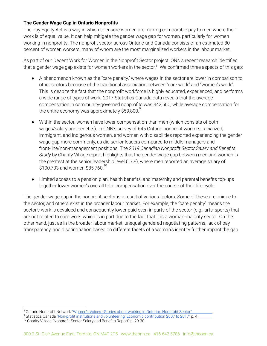## **The Gender Wage Gap in Ontario Nonprofits**

The Pay Equity Act is a way in which to ensure women are making comparable pay to men where their work is of equal value. It can help mitigate the gender wage gap for women, particularly for women working in nonprofits. The nonprofit sector across Ontario and Canada consists of an estimated 80 percent of women workers, many of whom are the most marginalized workers in the labour market.

As part of our Decent Work for Women in the Nonprofit Sector project, ONN's recent research identified that a gender wage gap exists for women workers in the sector. $^8\,$  We confirmed three aspects of this gap:

- A phenomenon known as the "care penalty," where wages in the sector are lower in comparison to other sectors because of the traditional association between "care work" and "women's work". This is despite the fact that the nonprofit workforce is highly educated, experienced, and performs a wide range of types of work. 2017 Statistics Canada data reveals that the average compensation in community-governed nonprofits was \$42,500, while average compensation for the entire economy was approximately \$59,800. $^\mathrm{9}$
- Within the sector, women have lower compensation than men (which consists of both wages/salary and benefits). In ONN's survey of 645 Ontario nonprofit workers, racialized, immigrant, and Indigenous women, and women with disabilities reported experiencing the gender wage gap more commonly, as did senior leaders compared to middle managers and front-line/non-management positions. The *2019 Canadian Nonprofit Sector Salary and Benefits Study* by Charity Village report highlights that the gender wage gap between men and women is the greatest at the senior leadership level (17%), where men reported an average salary of  $$100,733$  and women \$85,760. $^{10}$
- Limited access to a pension plan, health benefits, and maternity and parental benefits top-ups together lower women's overall total compensation over the course of their life cycle.

The gender wage gap in the nonprofit sector is a result of various factors. Some of these are unique to the sector, and others exist in the broader labour market. For example, the "care penalty" means the sector's work is devalued and consequently lower paid even in parts of the sector (e.g., arts, sports) that are not related to care work, which is in part due to the fact that it is a woman-majority sector. On the other hand, just as in the broader labour market, unequal gendered negotiating patterns, lack of pay transparency, and discrimination based on different facets of a woman's identity further impact the gap.

<sup>&</sup>lt;sup>8</sup> Ontario Nonprofit Network "Women's Voices - Stories about working in Ontario's Nonprofit Sector".

<sup>&</sup>lt;sup>9</sup> Statistics Canada ["Non-profit institutions and volunteering: Economic contribution 2007 to 2017"](https://www150.statcan.gc.ca/n1/en/daily-quotidien/190305/dq190305a-eng.pdf?st=f64EzeDq) p. 4 <sup>10</sup> Charity Village "Nonprofit Sector Salary and Benefits Report" p. 29-30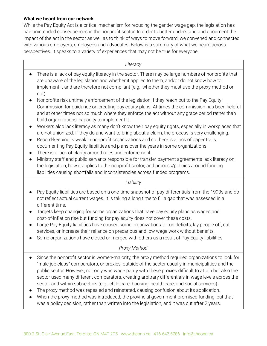### **What we heard from our network**

While the Pay Equity Act is a critical mechanism for reducing the gender wage gap, the legislation has had unintended consequences in the nonprofit sector. In order to better understand and document the impact of the act in the sector as well as to think of ways to move forward, we convened and connected with various employers, employees and advocates. Below is a summary of what we heard across perspectives. It speaks to a variety of experiences that may not be true for everyone.

#### *Literacy*

- There is a lack of pay equity literacy in the sector. There may be large numbers of nonprofits that are unaware of the legislation and whether it applies to them, and/or do not know how to implement it and are therefore not compliant (e.g., whether they must use the proxy method or not).
- Nonprofits risk untimely enforcement of the legislation if they reach out to the Pay Equity Commission for guidance on creating pay equity plans. At times the commission has been helpful and at other times not so much where they enforce the act without any grace period rather than build organizations' capacity to implement it.
- Workers also lack literacy as many don't know their pay equity rights, especially in workplaces that are not unionized. If they do and want to bring about a claim, the process is very challenging.
- Record-keeping is weak in nonprofit organizations and so there is a lack of paper trails documenting Pay Equity liabilities and plans over the years in some organizations.
- There is a lack of clarity around rules and enforcement.
- Ministry staff and public servants responsible for transfer payment agreements lack literacy on the legislation, how it applies to the nonprofit sector, and process/policies around funding liabilities causing shortfalls and inconsistencies across funded programs.

*Liability*

- Pay Equity liabilities are based on a one-time snapshot of pay differentials from the 1990s and do not reflect actual current wages. It is taking a long time to fill a gap that was assessed in a different time.
- Targets keep changing for some organizations that have pay equity plans as wages and cost-of-inflation rise but funding for pay equity does not cover these costs.
- Large Pay Equity liabilities have caused some organizations to run deficits, lay people off, cut services, or increase their reliance on precarious and low wage work without benefits.
- Some organizations have closed or merged with others as a result of Pay Equity liabilities

## *Proxy Method*

- Since the nonprofit sector is women-majority, the proxy method required organizations to look for "male job class" comparators, or proxies, outside of the sector usually in municipalities and the public sector. However, not only was wage parity with these proxies difficult to attain but also the sector used many different comparators, creating arbitrary differentials in wage levels across the sector and within subsectors (e.g., child care, housing, health care, and social services).
- The proxy method was repealed and reinstated, causing confusion about its application.
- When the proxy method was introduced, the provincial government promised funding, but that was a policy decision, rather than written into the legislation, and it was cut after 2 years.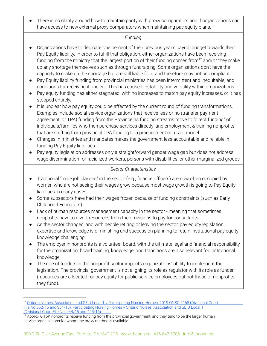There is no clarity around how to maintain parity with proxy comparators and if organizations can have access to new external proxy comparators when maintaining pay equity plans.<sup>11</sup>

#### *Funding*

- Organizations have to dedicate one percent of their previous year's payroll budget towards their Pay Equity liability. In order to fulfill that obligation, either organizations have been receiving funding from the ministry that the largest portion of their funding comes from<sup>12</sup> and/or they make up any shortage themselves such as through fundraising. Some organizations don't have the capacity to make up the shortage but are still liable for it and therefore may not be compliant.
- Pay Equity liability funding from provincial ministries has been intermittent and inequitable, and conditions for receiving it unclear. This has caused instability and volatility within organizations.
- Pay equity funding has either stagnated, with no increases to match pay equity increases, or it has stopped entirely.
- It is unclear how pay equity could be affected by the current round of funding transformations. Examples include social service organizations that receive less or no (transfer payment agreement, or TPA) funding from the Province as funding streams move to "direct funding" of individuals/families who then purchase services directly; and employment & training nonprofits that are shifting from provincial TPA funding to a procurement contract model.
- Changes in ministries and mandates makes the government less accountable and reliable in funding Pay Equity liabilities
- Pay equity legislation addresses only a straightforward gender wage gap but does not address wage discrimination for racialized workers, persons with disabilities, or other marginalized groups

#### *Sector Characteristics*

- Traditional "male job classes" in the sector (e.g., finance officers) are now often occupied by women who are not seeing their wages grow because most wage growth is going to Pay Equity liabilities in many cases.
- Some subsectors have had their wages frozen because of funding constraints (such as Early Childhood Educators).
- Lack of human resources management capacity in the sector meaning that sometimes nonprofits have to divert resources from their missions to pay for consultants.
- As the sector changes, and with people retiring or leaving the sector, pay equity legislation expertise and knowledge is diminishing and succession planning to retain institutional pay equity knowledge challenging.
- The employer in nonprofits is a volunteer board, with the ultimate legal and financial responsibility for the organization; board training, knowledge, and transitions are also relevant for institutional knowledge.
- The role of funders in the nonprofit sector impacts organizations' ability to implement the legislation. The provincial government is not aligning its role as regulator with its role as funder (resources are allocated for pay equity for public service employees but not those of nonprofits they fund).

<sup>&</sup>lt;sup>11</sup> Ontario Nurses' Association and SEIU Local 1 v Participating Nursing Homes, 2019 ONSC 2168 (Divisional Court [File No 362/16 and 364/16\); Participating Nursing Homes v Ontario Nurses' Association and SEIU Local 1](https://seiuhealthcare.ca/wp-content/uploads/2019/05/seiu1-proxy-case-summary.pdf)  [\(Divisional Court File No. 444/16 and 445/16\)](https://seiuhealthcare.ca/wp-content/uploads/2019/05/seiu1-proxy-case-summary.pdf) 

 $12$  Approx 6-15K nonprofits receive funding from the provincial government, and they tend to be the larger human service organizations for whom the proxy method is available.